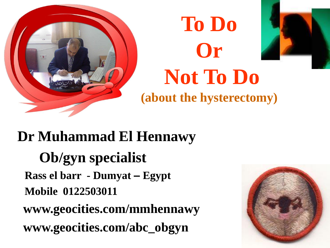



**Dr Muhammad El Hennawy Ob/gyn specialist Rass el barr - Dumyat – Egypt Mobile 0122503011 www.geocities.com/mmhennawy www.geocities.com/abc\_obgyn**

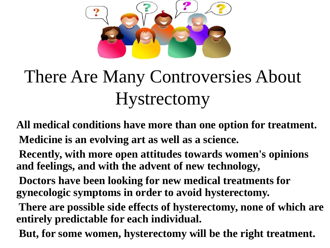

## There Are Many Controversies About Hystrectomy

- **All medical conditions have more than one option for treatment. Medicine is an evolving art as well as a science.**
- **Recently, with more open attitudes towards women's opinions and feelings, and with the advent of new technology,**
- **Doctors have been looking for new medical treatments for gynecologic symptoms in order to avoid hysterectomy.**
- **There are possible side effects of hysterectomy, none of which are entirely predictable for each individual.**
- **But, for some women, hysterectomy will be the right treatment.**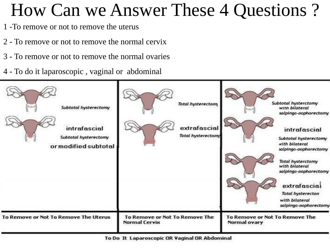#### How Can we Answer These 4 Questions ?

- 1 -To remove or not to remove the uterus
- 2 To remove or not to remove the normal cervix
- 3 To remove or not to remove the normal ovaries
- 4 To do it laparoscopic , vaginal or abdominal

| Subtotal hysterectomy<br>intrafascial<br>Subtotal hysterectomy<br>or modified subtotal | <b>Total hysterectomy</b><br>extrafascial<br><b>Total hysterectomy</b> | Subtotal hysterctomy<br>with bilateral<br>salpingo-oophorectomy<br>intrafascial<br>Subtotal hysterectomy<br>with bilateral<br>salpingo-oophorectomy<br><b>Total hysterctomy</b><br>with bilateral<br>salpingo-oophorectomy<br>extrafascial<br><b>Total hysterecton</b><br>with bilateral<br>salpingo-oophorectomy |
|----------------------------------------------------------------------------------------|------------------------------------------------------------------------|-------------------------------------------------------------------------------------------------------------------------------------------------------------------------------------------------------------------------------------------------------------------------------------------------------------------|
| To Remove or Not To Remove The Uterus                                                  | To Remove or Not To Remove The<br><b>Normal Cervix</b>                 | To Remove or Not To Remove The<br>Normal ovary                                                                                                                                                                                                                                                                    |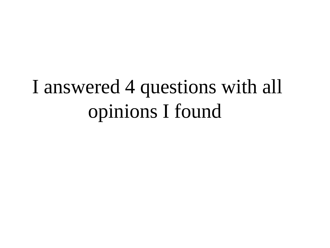## I answered 4 questions with all opinions I found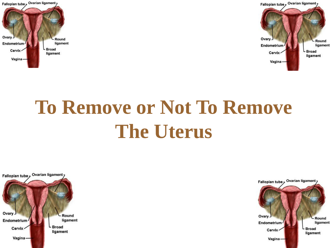



# **To Remove or Not To Remove The Uterus**



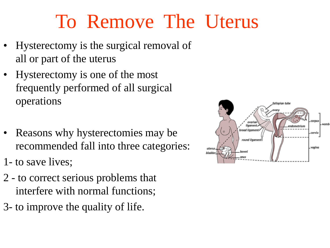### To Remove The Uterus

- Hysterectomy is the surgical removal of all or part of the uterus
- Hysterectomy is one of the most frequently performed of all surgical operations
- Reasons why hysterectomies may be recommended fall into three categories:
- 1- to save lives;
- 2 to correct serious problems that interfere with normal functions;
- 3- to improve the quality of life.

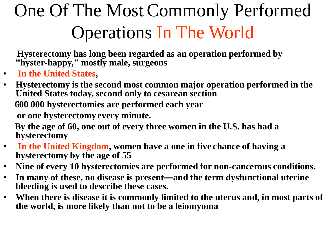## One Of The Most Commonly Performed Operations In The World

**Hysterectomy has long been regarded as an operation performed by "hyster-happy," mostly male, surgeons**

- **In the United States,**
- **Hysterectomy is the second most common major operation performed in the United States today, second only to cesarean section**

**600 000 hysterectomies are performed each year**

**or one hysterectomy every minute.** 

**By the age of 60, one out of every three women in the U.S. has had a hysterectomy**

- **In the United Kingdom, women have a one in five chance of having a hysterectomy by the age of 55**
- **Nine of every 10 hysterectomies are performed for non-cancerous conditions.**
- **In many of these, no disease is present—and the term dysfunctional uterine bleeding is used to describe these cases.**
- **When there is disease it is commonly limited to the uterus and, in most parts of the world, is more likely than not to be a leiomyoma**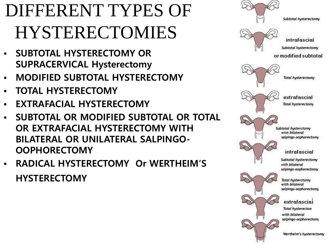## DIFFERENT TYPES OF HYSTERECTOMIES

- **SUBTOTAL HYSTERECTOMY OR SUPRACERVICAL Hysterectomy**
- **MODIFIED SUBTOTAL HYSTERECTOMY**
- **TOTAL HYSTERECTOMY**
- **EXTRAFACIAL HYSTERECTOMY**
- **SUBTOTAL OR MODIFIED SUBTOTAL OR TOTAL OR EXTRAFACIAL HYSTERECTOMY WITH BILATERAL OR UNILATERAL SALPINGO-OOPHORECTOMY**
- **RADICAL HYSTERECTOMY Or WERTHEIM'S HYSTERECTOMY**

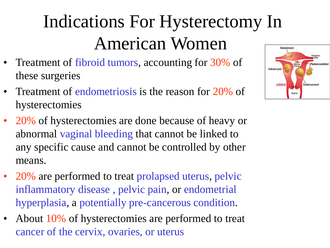## Indications For Hysterectomy In American Women

- Treatment of fibroid tumors, accounting for 30% of these surgeries
- Treatment of endometriosis is the reason for 20% of hysterectomies
- 20% of hysterectomies are done because of heavy or abnormal vaginal bleeding that cannot be linked to any specific cause and cannot be controlled by other means.
- 20% are performed to treat prolapsed uterus, pelvic inflammatory disease , pelvic pain, or endometrial hyperplasia, a potentially pre-cancerous condition.
- About 10% of hysterectomies are performed to treat cancer of the cervix, ovaries, or uterus

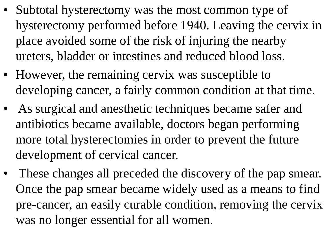- Subtotal hysterectomy was the most common type of hysterectomy performed before 1940. Leaving the cervix in place avoided some of the risk of injuring the nearby ureters, bladder or intestines and reduced blood loss.
- However, the remaining cervix was susceptible to developing cancer, a fairly common condition at that time.
- As surgical and anesthetic techniques became safer and antibiotics became available, doctors began performing more total hysterectomies in order to prevent the future development of cervical cancer.
- These changes all preceded the discovery of the pap smear. Once the pap smear became widely used as a means to find pre-cancer, an easily curable condition, removing the cervix was no longer essential for all women.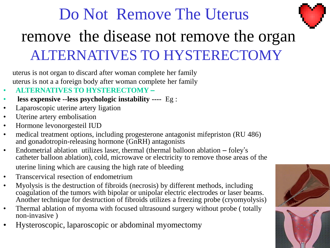#### Do Not Remove The Uterus remove the disease not remove the organ ALTERNATIVES TO HYSTERECTOMY

uterus is not organ to discard after woman complete her family uterus is not a a foreign body after woman complete her family

- **ALTERNATIVES TO HYSTERECTOMY –**
- **less expensive --less psychologic instability ----** Eg :
- Laparoscopic uterine artery ligation
- Uterine artery embolisation
- Hormone levonorgesteil IUD
- medical treatment options, including progesterone antagonist mifepriston (RU 486) and gonadotropin-releasing hormone (GnRH) antagonists
- Endometrial ablation utilizes laser, thermal (thermal balloon ablation foley's catheter balloon ablation), cold, microwave or electricity to remove those areas of the uterine lining which are causing the high rate of bleeding
- Transcervical resection of endometrium
- Myolysis is the destruction of fibroids (necrosis) by different methods, including coagulation of the tumors with bipolar or unipolar electric electrodes or laser beams. Another technique for destruction of fibroids utilizes a freezing probe (cryomyolysis)
- Thermal ablation of myoma with focused ultrasound surgery without probe ( totally non-invasive )
- Hysteroscopic, laparoscopic or abdominal myomectomy

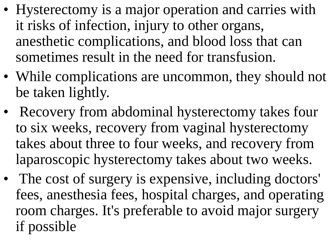- Hysterectomy is a major operation and carries with it risks of infection, injury to other organs, anesthetic complications, and blood loss that can sometimes result in the need for transfusion.
- While complications are uncommon, they should not be taken lightly.
- Recovery from abdominal hysterectomy takes four to six weeks, recovery from vaginal hysterectomy takes about three to four weeks, and recovery from laparoscopic hysterectomy takes about two weeks.
- The cost of surgery is expensive, including doctors' fees, anesthesia fees, hospital charges, and operating room charges. It's preferable to avoid major surgery if possible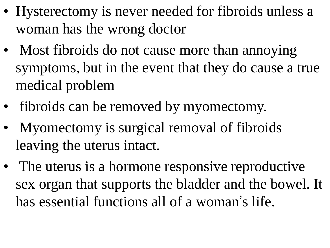- Hysterectomy is never needed for fibroids unless a woman has the wrong doctor
- Most fibroids do not cause more than annoying symptoms, but in the event that they do cause a true medical problem
- fibroids can be removed by myomectomy.
- Myomectomy is surgical removal of fibroids leaving the uterus intact.
- The uterus is a hormone responsive reproductive sex organ that supports the bladder and the bowel. It has essential functions all of a woman's life.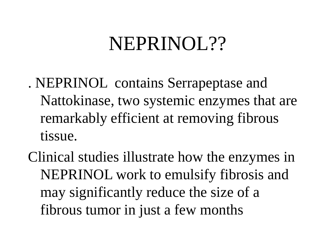#### NEPRINOL??

- . NEPRINOL contains Serrapeptase and Nattokinase, two systemic enzymes that are remarkably efficient at removing fibrous tissue.
- Clinical studies illustrate how the enzymes in NEPRINOL work to emulsify fibrosis and may significantly reduce the size of a fibrous tumor in just a few months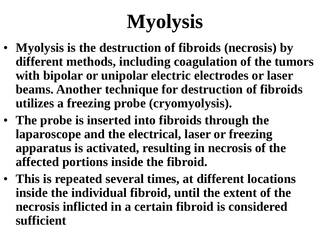# **Myolysis**

- **Myolysis is the destruction of fibroids (necrosis) by different methods, including coagulation of the tumors with bipolar or unipolar electric electrodes or laser beams. Another technique for destruction of fibroids utilizes a freezing probe (cryomyolysis).**
- **The probe is inserted into fibroids through the laparoscope and the electrical, laser or freezing apparatus is activated, resulting in necrosis of the affected portions inside the fibroid.**
- **This is repeated several times, at different locations inside the individual fibroid, until the extent of the necrosis inflicted in a certain fibroid is considered sufficient**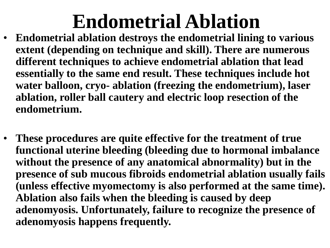## **Endometrial Ablation**

- **Endometrial ablation destroys the endometrial lining to various extent (depending on technique and skill). There are numerous different techniques to achieve endometrial ablation that lead essentially to the same end result. These techniques include hot water balloon, cryo- ablation (freezing the endometrium), laser ablation, roller ball cautery and electric loop resection of the endometrium.**
- **These procedures are quite effective for the treatment of true functional uterine bleeding (bleeding due to hormonal imbalance without the presence of any anatomical abnormality) but in the presence of sub mucous fibroids endometrial ablation usually fails (unless effective myomectomy is also performed at the same time). Ablation also fails when the bleeding is caused by deep adenomyosis. Unfortunately, failure to recognize the presence of adenomyosis happens frequently.**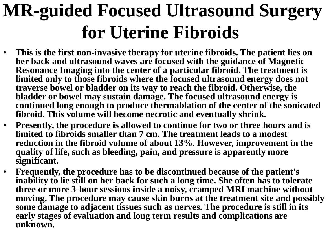#### **MR-guided Focused Ultrasound Surgery for Uterine Fibroids**

- **This is the first non-invasive therapy for uterine fibroids. The patient lies on her back and ultrasound waves are focused with the guidance of Magnetic Resonance Imaging into the center of a particular fibroid. The treatment is limited only to those fibroids where the focused ultrasound energy does not traverse bowel or bladder on its way to reach the fibroid. Otherwise, the bladder or bowel may sustain damage. The focused ultrasound energy is continued long enough to produce thermablation of the center of the sonicated fibroid. This volume will become necrotic and eventually shrink.**
- **Presently, the procedure is allowed to continue for two or three hours and is limited to fibroids smaller than 7 cm. The treatment leads to a modest reduction in the fibroid volume of about 13%. However, improvement in the quality of life, such as bleeding, pain, and pressure is apparently more significant.**
- **Frequently, the procedure has to be discontinued because of the patient's inability to lie still on her back for such a long time. She often has to tolerate three or more 3-hour sessions inside a noisy, cramped MRI machine without moving. The procedure may cause skin burns at the treatment site and possibly some damage to adjacent tissues such as nerves. The procedure is still in its early stages of evaluation and long term results and complications are unknown.**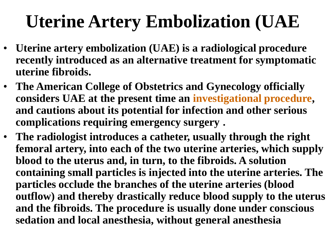## **Uterine Artery Embolization (UAE**

- **Uterine artery embolization (UAE) is a radiological procedure recently introduced as an alternative treatment for symptomatic uterine fibroids.**
- **The American College of Obstetrics and Gynecology officially considers UAE at the present time an investigational procedure, and cautions about its potential for infection and other serious complications requiring emergency surgery .**
- **The radiologist introduces a catheter, usually through the right femoral artery, into each of the two uterine arteries, which supply blood to the uterus and, in turn, to the fibroids. A solution containing small particles is injected into the uterine arteries. The particles occlude the branches of the uterine arteries (blood outflow) and thereby drastically reduce blood supply to the uterus and the fibroids. The procedure is usually done under conscious sedation and local anesthesia, without general anesthesia**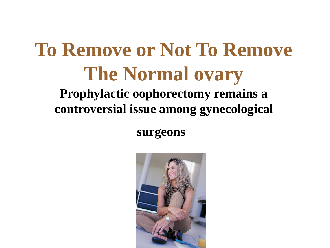#### **To Remove or Not To Remove The Normal ovary Prophylactic oophorectomy remains a controversial issue among gynecological**

**surgeons**

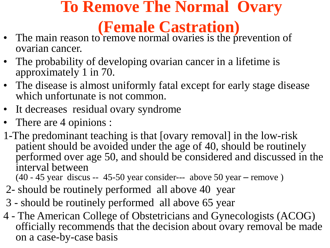#### **To Remove The Normal Ovary (Female Castration)**

- The main reason to remove normal ovaries is the prevention of ovarian cancer.
- The probability of developing ovarian cancer in a lifetime is approximately 1 in 70.
- The disease is almost uniformly fatal except for early stage disease which unfortunate is not common.
- It decreases residual ovary syndrome
- There are 4 opinions :
- 1-The predominant teaching is that [ovary removal] in the low-risk patient should be avoided under the age of 40, should be routinely performed over age 50, and should be considered and discussed in the interval between

(40 - 45 year discus -- 45-50 year consider--- above 50 year – remove )

- 2- should be routinely performed all above 40 year
- 3 should be routinely performed all above 65 year
- 4 The American College of Obstetricians and Gynecologists (ACOG) officially recommends that the decision about ovary removal be made on a case-by-case basis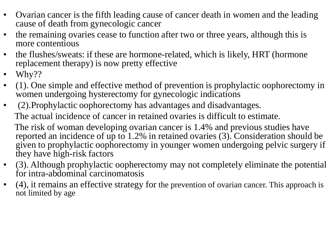- Ovarian cancer is the fifth leading cause of cancer death in women and the leading cause of death from gynecologic cancer
- the remaining ovaries cease to function after two or three years, although this is more contentious
- the flushes/sweats: if these are hormone-related, which is likely, HRT (hormone replacement therapy) is now pretty effective
- Why??
- (1). One simple and effective method of prevention is prophylactic oophorectomy in women undergoing hysterectomy for gynecologic indications
- (2).Prophylactic oophorectomy has advantages and disadvantages. The actual incidence of cancer in retained ovaries is difficult to estimate. The risk of woman developing ovarian cancer is 1.4% and previous studies have reported an incidence of up to 1.2% in retained ovaries (3). Consideration should be given to prophylactic oophorectomy in younger women undergoing pelvic surgery if they have high-risk factors
- (3). Although prophylactic oopherectomy may not completely eliminate the potential for intra-abdominal carcinomatosis
- (4), it remains an effective strategy for the prevention of ovarian cancer. This approach is not limited by age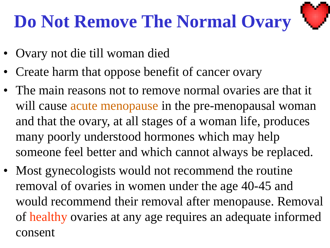#### **Do Not Remove The Normal Ovary**



- Ovary not die till woman died
- Create harm that oppose benefit of cancer ovary
- The main reasons not to remove normal ovaries are that it will cause acute menopause in the pre-menopausal woman and that the ovary, at all stages of a woman life, produces many poorly understood hormones which may help someone feel better and which cannot always be replaced.
- Most gynecologists would not recommend the routine removal of ovaries in women under the age 40-45 and would recommend their removal after menopause. Removal of healthy ovaries at any age requires an adequate informed consent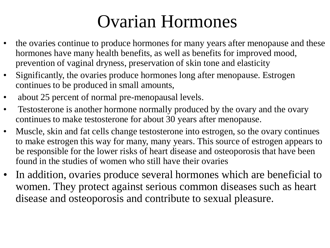#### Ovarian Hormones

- the ovaries continue to produce hormones for many years after menopause and these hormones have many health benefits, as well as benefits for improved mood, prevention of vaginal dryness, preservation of skin tone and elasticity
- Significantly, the ovaries produce hormones long after menopause. Estrogen continues to be produced in small amounts,
- about 25 percent of normal pre-menopausal levels.
- Testosterone is another hormone normally produced by the ovary and the ovary continues to make testosterone for about 30 years after menopause.
- Muscle, skin and fat cells change testosterone into estrogen, so the ovary continues to make estrogen this way for many, many years. This source of estrogen appears to be responsible for the lower risks of heart disease and osteoporosis that have been found in the studies of women who still have their ovaries
- In addition, ovaries produce several hormones which are beneficial to women. They protect against serious common diseases such as heart disease and osteoporosis and contribute to sexual pleasure.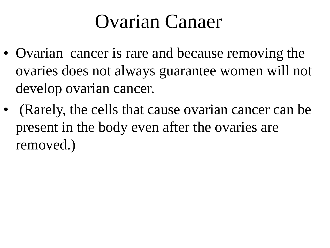#### Ovarian Canaer

- Ovarian cancer is rare and because removing the ovaries does not always guarantee women will not develop ovarian cancer.
- (Rarely, the cells that cause ovarian cancer can be present in the body even after the ovaries are removed.)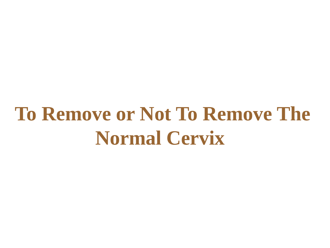## **To Remove or Not To Remove The Normal Cervix**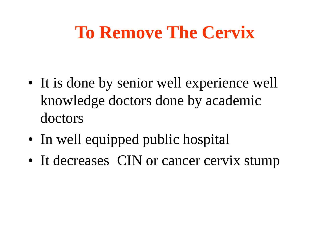#### **To Remove The Cervix**

- It is done by senior well experience well knowledge doctors done by academic doctors
- In well equipped public hospital
- It decreases CIN or cancer cervix stump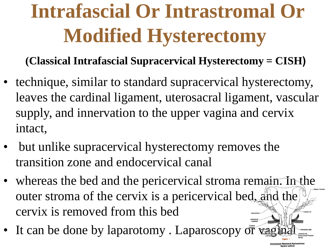# **Intrafascial Or Intrastromal Or Modified Hysterectomy**

**(Classical Intrafascial Supracervical Hysterectomy = CISH(**

- technique, similar to standard supracervical hysterectomy, leaves the cardinal ligament, uterosacral ligament, vascular supply, and innervation to the upper vagina and cervix intact,
- but unlike supracervical hysterectomy removes the transition zone and endocervical canal
- whereas the bed and the pericervical stroma remain. In the outer stroma of the cervix is a pericervical bed, and the cervix is removed from this bed
- It can be done by laparotomy . Laparoscopy  $\ddot{\sigma}$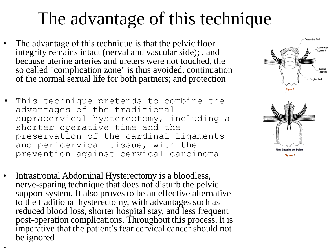#### The advantage of this technique

- The advantage of this technique is that the pelvic floor integrity remains intact (nerval and vascular side); , and because uterine arteries and ureters were not touched, the so called "complication zone" is thus avoided. continuation of the normal sexual life for both partners; and protection
- This technique pretends to combine the advantages of the traditional supracervical hysterectomy, including a shorter operative time and the preservation of the cardinal ligaments and pericervical tissue, with the prevention against cervical carcinoma
- Intrastromal Abdominal Hysterectomy is a bloodless, nerve-sparing technique that does not disturb the pelvic support system. It also proves to be an effective alternative to the traditional hysterectomy, with advantages such as reduced blood loss, shorter hospital stay, and less frequent post-operation complications. Throughout this process, it is imperative that the patient's fear cervical cancer should not be ignored

• .



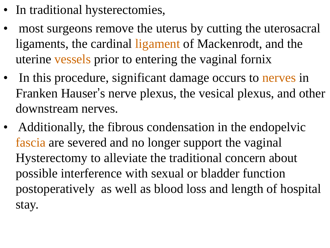- In traditional hysterectomies,
- most surgeons remove the uterus by cutting the uterosacral ligaments, the cardinal ligament of Mackenrodt, and the uterine vessels prior to entering the vaginal fornix
- In this procedure, significant damage occurs to nerves in Franken Hauser's nerve plexus, the vesical plexus, and other downstream nerves.
- Additionally, the fibrous condensation in the endopelvic fascia are severed and no longer support the vaginal Hysterectomy to alleviate the traditional concern about possible interference with sexual or bladder function postoperatively as well as blood loss and length of hospital stay.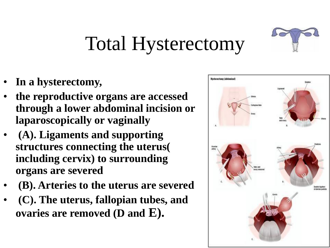

## Total Hysterectomy

- **In a hysterectomy,**
- **the reproductive organs are accessed through a lower abdominal incision or laparoscopically or vaginally**
- **(A). Ligaments and supporting structures connecting the uterus( including cervix) to surrounding organs are severed**
- **(B). Arteries to the uterus are severed**
- **(C). The uterus, fallopian tubes, and ovaries are removed (D and E).**

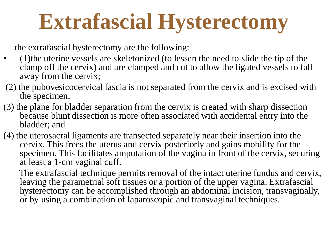# **Extrafascial Hysterectomy**

the extrafascial hysterectomy are the following:

- (1)the uterine vessels are skeletonized (to lessen the need to slide the tip of the clamp off the cervix) and are clamped and cut to allow the ligated vessels to fall away from the cervix;
- (2) the pubovesicocervical fascia is not separated from the cervix and is excised with the specimen;
- (3) the plane for bladder separation from the cervix is created with sharp dissection because blunt dissection is more often associated with accidental entry into the bladder; and
- (4) the uterosacral ligaments are transected separately near their insertion into the cervix. This frees the uterus and cervix posteriorly and gains mobility for the specimen. This facilitates amputation of the vagina in front of the cervix, securing at least a 1-cm vaginal cuff.

The extrafascial technique permits removal of the intact uterine fundus and cervix, leaving the parametrial soft tissues or a portion of the upper vagina. Extrafascial hysterectomy can be accomplished through an abdominal incision, transvaginally, or by using a combination of laparoscopic and transvaginal techniques.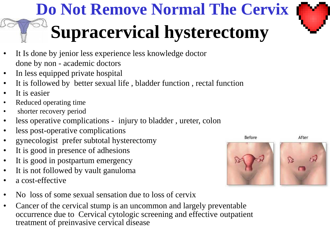## **Do Not Remove Normal The Cervix Supracervical hysterectomy**

- It Is done by jenior less experience less knowledge doctor done by non - academic doctors
- In less equipped private hospital
- It is followed by better sexual life, bladder function, rectal function
- It is easier
- Reduced operating time
- shorter recovery period
- less operative complications injury to bladder, ureter, colon
- less post-operative complications
- gynecologist prefer subtotal hysterectomy
- It is good in presence of adhesions
- It is good in postpartum emergency
- It is not followed by vault ganuloma
- a cost-effective
- No loss of some sexual sensation due to loss of cervix
- Cancer of the cervical stump is an uncommon and largely preventable occurrence due to Cervical cytologic screening and effective outpatient treatment of preinvasive cervical disease

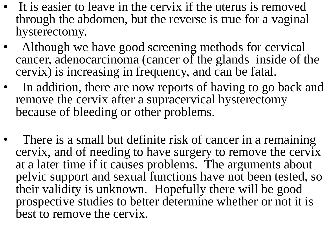- It is easier to leave in the cervix if the uterus is removed through the abdomen, but the reverse is true for a vaginal hysterectomy.
- Although we have good screening methods for cervical cancer, adenocarcinoma (cancer of the glands inside of the cervix) is increasing in frequency, and can be fatal.
- In addition, there are now reports of having to go back and remove the cervix after a supracervical hysterectomy because of bleeding or other problems.
- There is a small but definite risk of cancer in a remaining cervix, and of needing to have surgery to remove the cervix at a later time if it causes problems. The arguments about pelvic support and sexual functions have not been tested, so their validity is unknown. Hopefully there will be good prospective studies to better determine whether or not it is best to remove the cervix.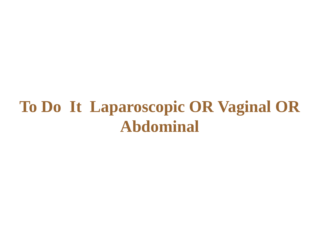#### **To Do It Laparoscopic OR Vaginal OR Abdominal**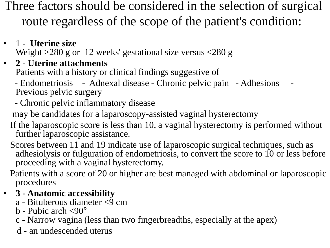Three factors should be considered in the selection of surgical route regardless of the scope of the patient's condition:

- 1 **Uterine size** Weight >280 g or 12 weeks' gestational size versus <280 g
- **2 - Uterine attachments**

Patients with a history or clinical findings suggestive of

- Endometriosis - Adnexal disease - Chronic pelvic pain - Adhesions Previous pelvic surgery

- Chronic pelvic inflammatory disease

may be candidates for a laparoscopy-assisted vaginal hysterectomy

If the laparoscopic score is less than 10, a vaginal hysterectomy is performed without further laparoscopic assistance.

Scores between 11 and 19 indicate use of laparoscopic surgical techniques, such as adhesiolysis or fulguration of endometriosis, to convert the score to 10 or less before proceeding with a vaginal hysterectomy.

Patients with a score of 20 or higher are best managed with abdominal or laparoscopic procedures

#### • **3 - Anatomic accessibility**

- $a$  Bituberous diameter  $\langle \overline{9} \rangle$  cm
- b Pubic arch <90°
- c Narrow vagina (less than two fingerbreadths, especially at the apex)
- d an undescended uterus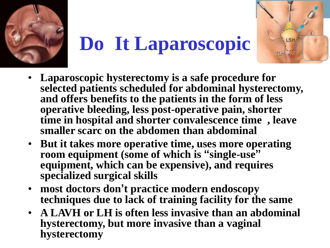

# **Do It Laparoscopic**

**LSH** 



- **But it takes more operative time, uses more operating room equipment (some of which is "single-use" equipment, which can be expensive), and requires specialized surgical skills**
- **most doctors don't practice modern endoscopy techniques due to lack of training facility for the same**
- **A LAVH or LH is often less invasive than an abdominal hysterectomy, but more invasive than a vaginal hysterectomy**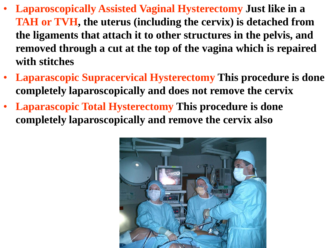- **Laparoscopically Assisted Vaginal Hysterectomy Just like in a TAH or TVH, the uterus (including the cervix) is detached from the ligaments that attach it to other structures in the pelvis, and removed through a cut at the top of the vagina which is repaired with stitches**
- **Laparascopic Supracervical Hysterectomy This procedure is done completely laparoscopically and does not remove the cervix**
- **Laparascopic Total Hysterectomy This procedure is done completely laparoscopically and remove the cervix also**

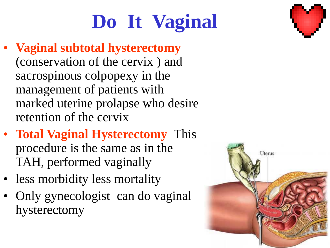# **Do It Vaginal**

- **Vaginal subtotal hysterectomy** (conservation of the cervix ) and sacrospinous colpopexy in the management of patients with marked uterine prolapse who desire retention of the cervix
- **Total Vaginal Hysterectomy** This procedure is the same as in the TAH, performed vaginally
- less morbidity less mortality
- Only gynecologist can do vaginal hysterectomy



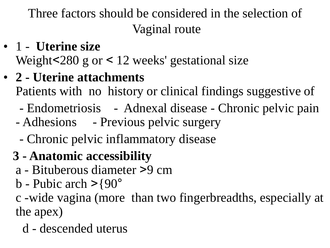Three factors should be considered in the selection of Vaginal route

- 1 **Uterine size** Weight $< 280$  g or  $< 12$  weeks' gestational size
- **2 - Uterine attachments** Patients with no history or clinical findings suggestive of
	- Endometriosis Adnexal disease Chronic pelvic pain
	- Adhesions Previous pelvic surgery
		- Chronic pelvic inflammatory disease
	- **3 - Anatomic accessibility**
		- a Bituberous diameter <9 cm
		- b Pubic arch  $>$ {90°

c -wide vagina (more than two fingerbreadths, especially at the apex)

d - descended uterus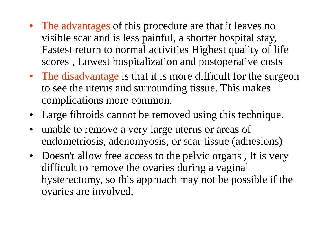- The advantages of this procedure are that it leaves no visible scar and is less painful, a shorter hospital stay, Fastest return to normal activities Highest quality of life scores , Lowest hospitalization and postoperative costs
- The disadvantage is that it is more difficult for the surgeon to see the uterus and surrounding tissue. This makes complications more common.
- Large fibroids cannot be removed using this technique.
- unable to remove a very large uterus or areas of endometriosis, adenomyosis, or scar tissue (adhesions)
- Doesn't allow free access to the pelvic organs, It is very difficult to remove the ovaries during a vaginal hysterectomy, so this approach may not be possible if the ovaries are involved.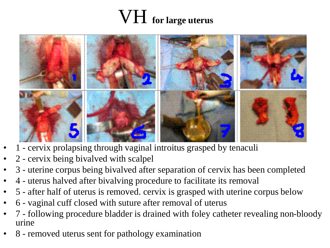#### VH **for large uterus**



- 1 cervix prolapsing through vaginal introitus grasped by tenaculi
- 2 cervix being bivalved with scalpel
- 3 uterine corpus being bivalved after separation of cervix has been completed
- 4 uterus halved after bivalving procedure to facilitate its removal
- 5 after half of uterus is removed. cervix is grasped with uterine corpus below
- 6 vaginal cuff closed with suture after removal of uterus
- 7 following procedure bladder is drained with foley catheter revealing non-bloody urine
- 8 removed uterus sent for pathology examination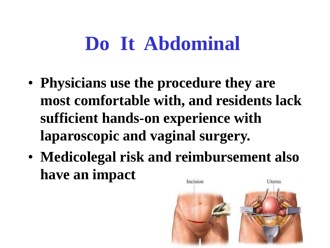## **Do It Abdominal**

- **Physicians use the procedure they are most comfortable with, and residents lack sufficient hands-on experience with laparoscopic and vaginal surgery.**
- **Medicolegal risk and reimbursement also have an impact**Incision Uterus

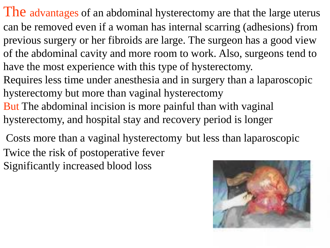- The advantages of an abdominal hysterectomy are that the large uterus can be removed even if a woman has internal scarring (adhesions) from previous surgery or her fibroids are large. The surgeon has a good view of the abdominal cavity and more room to work. Also, surgeons tend to have the most experience with this type of hysterectomy.
- Requires less time under anesthesia and in surgery than a laparoscopic hysterectomy but more than vaginal hysterectomy
- But The abdominal incision is more painful than with vaginal hysterectomy, and hospital stay and recovery period is longer
- Costs more than a vaginal hysterectomy but less than laparoscopic Twice the risk of postoperative fever Significantly increased blood loss

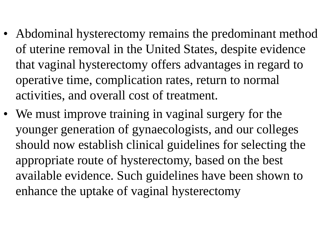- Abdominal hysterectomy remains the predominant method of uterine removal in the United States, despite evidence that vaginal hysterectomy offers advantages in regard to operative time, complication rates, return to normal activities, and overall cost of treatment.
- We must improve training in vaginal surgery for the younger generation of gynaecologists, and our colleges should now establish clinical guidelines for selecting the appropriate route of hysterectomy, based on the best available evidence. Such guidelines have been shown to enhance the uptake of vaginal hysterectomy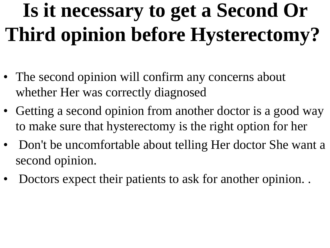# **Is it necessary to get a Second Or Third opinion before Hysterectomy?**

- The second opinion will confirm any concerns about whether Her was correctly diagnosed
- Getting a second opinion from another doctor is a good way to make sure that hysterectomy is the right option for her
- Don't be uncomfortable about telling Her doctor She want a second opinion.
- Doctors expect their patients to ask for another opinion. .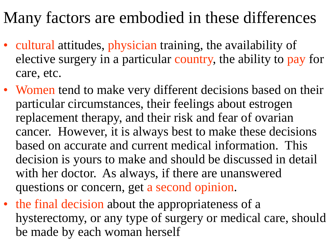#### Many factors are embodied in these differences

- cultural attitudes, physician training, the availability of elective surgery in a particular country, the ability to pay for care, etc.
- Women tend to make very different decisions based on their particular circumstances, their feelings about estrogen replacement therapy, and their risk and fear of ovarian cancer. However, it is always best to make these decisions based on accurate and current medical information. This decision is yours to make and should be discussed in detail with her doctor. As always, if there are unanswered questions or concern, get a second opinion.
- the final decision about the appropriateness of a hysterectomy, or any type of surgery or medical care, should be made by each woman herself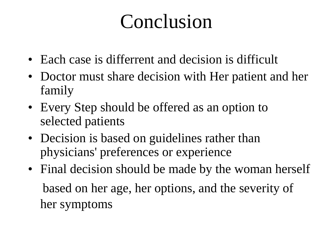## Conclusion

- Each case is differrent and decision is difficult
- Doctor must share decision with Her patient and her family
- Every Step should be offered as an option to selected patients
- Decision is based on guidelines rather than physicians' preferences or experience
- Final decision should be made by the woman herself based on her age, her options, and the severity of her symptoms